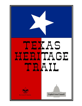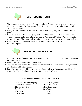

# **TRAIL REQUIREMENTS:**

- 1. There should be at least one adult for each 10 hikers. A group must have an adult leader at all times on the trail. The Boy Scouts of America policy requires two adult leaders on all Scout trips and tours.
- 2. Groups should stay together while on the hike. (Large groups may be divided into several groups.)
- *3.* Upon completion of the trail the group leader should send an Application for Trail Awards with the required fee for each hiker to the Capitol Area Council Center. (Only one patch for each participant.) The awards will be mailed or furnished as requested by the group leader.
- Note: All of Part One must be hiked and all points (1-15) must be visited. Part Two is optional.



# **HIKER REQUIREMENTS:**

- 1. Any registered member of the Boy Scouts of America, Girl Scouts, or other civic youth group may hike the trail.
- 2. Meet all Trail requirements while on the hike.
- 3. The correct Scout uniform should be worn while on the trail. Some article (T-shirt, armband, etc) should identify other groups.
- 4. Each hiker must visit the historical sites, participate in all of his/her group's activities, and answer the "On the Trail Quiz" to the satisfaction of his/her leader.

#### **Other places of interest you may wish to visit are:**

| <b>Barton Springs Road</b>       |
|----------------------------------|
| 304 E. 34 <sup>th</sup> . Street |
| along Town Lake                  |
| $38th$ . Street                  |
| FM #620                          |
| FM # 2222                        |
|                                  |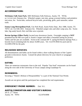# **ACCOMODATIONS:**

**McKinney Falls State Park**, 5805 McKinney Falls Parkway, Austin, TX 78744, tel. 512/243-1643. Entrance fee. Wheeled camper, tent sites, group screened shelters and primitive tent areas, fee. Swim-lake, surfaced bicycle trails, picnicking, grills, park naturalist, nature trails.

**Emma Long Metropolitan Park**, City Park Road, Austin Parks Dept., Box 1088, Austin, TX 78767, tel. 512/346-1831. Entrance fee. Wheeled camper sites and other camp area, fee. Swimlake, big sandy beach; fish, trail bike area w/permit.

**Barton Springs (Zilker Park)**; located near downtown Austin. Overnight camping is **NOT** permitted but the 485-acre park is Austin's largest and offers a beautiful setting for picnics. Tables and fire pits are available. Swim in the constant 68° F. spring-fed Barton Springs Pool, a favorite local swimming hole for about 10,000 years. Tel. 512/476-9044 for pool and tel. 512/499-6700 for the park.

### **RELIGIOUS SERVICES:**

All denominations and faiths can be found within a short walking distance of the Capitol grounds in downtown Austin. Consult the phone directory for your church or synagogue preference.

# **EATING:**

There are numerous restaurants close to the trail. Popular "fast food" restaurants can be found along the west side of the University of Texas campus along Guadalupe St.

### **REMINDERS:**

Securing a "Parent's Release of Responsibility" is a part of the National Tour Permit.

Awards are not given until the participant has completed the trail requirements.

# **EMERGENCY PHONE NUMBER:** Dial 911.

# **AUSTIN CONVENTION AND VISITOR'S BUREAU:**

201 E.  $2^{ND}$  Street Austin, TX 78701 512/478-0098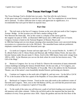# **The Texas Heritage Trail**

The Texas Heritage Trail is divided into two parts. Part One tells the early history of this great state and is required to earn this trail award. Part Two emphasizes its recent history and is optional. To allow sufficient time to enjoy and appreciate its significance, it is recommended that each part be hiked on separate days.

# **Part One**

 $\Box$  The trail starts at the foot of Congress Avenue on the west side just north of the Congress Avenue Bridge. At this location you will find a marker telling of the War Between the States **(1)**. Also at this corner is a display of the classic grid for the original city plan of 1839, an illustrated 1889 layout and a 1989 aerial view of Austin. Congress Avenue is listed on the National Register of Historic Places and in 1984 that listing took on even deeper meaning when mastodon bones were uncovered during excavation at a construction site in the 300 block. The unearthed bones indicate prehistoric elephants roamed here around ten thousand years ago.

**Q** Go north on Congress Avenue and turn right onto  $5<sup>th</sup>$  St. toward Neches St. At 409 E.  $5<sup>th</sup>$ St. (Brush Park) is the O. Henry Home and Museum. **(2)** William Sidney Porter, the man who became famous under the pen name O. Henry, lived in this 1886 Queen Anne-style cottage from 1893 to 1895. In the Museum you can see the desk where he wrote his best-known story, "The Gift of the Magi."

 $\Box$  Return to Congress Ave. by way of Sixth St. Observe the restoration of many nineteenthcentury buildings including the famous Driskill Hotel. On the east side, at 713 Congress, you will find a marker that tells of the Republic of Texas **(3).** This is the address for the Paramount Theater, one of the nation's most beautifully detailed historic performing arts theaters.

 $\Box$  Continue on Congress to the north side of Eighth St. and turn west. Up the hill at 124 W. 8 th St. is the location of the first capitol of the Republic of Texas (three markers) **(4)**.

 $\Box$  Backtrack to Congress Avenue. Travel on the west side north to the southwest corner of Eleventh and Congress. Here, next to the Old Bakery (1876), you will find the preserved ruins of a building used as a temporary Capitol of Texas **(5)**.

 $\Box$  To the south of the ruins you will discover a path of red brick leading west toward a fine old mansion with white columns. Follow the red brick path to the mansion that has been the residence of every Texas governor since 1856. Enjoy the gardens and tour the first floor of the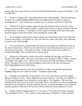mansion **(6)**. Tours open 10 AM to 12 Noon, Monday through Friday except state holidays. Call 512/463-5518

 $\Box$  Return to Congress Ave., turn north and enter the Capitol grounds. Tour the centerpiece of Austin, the Capitol Building (1888) which was modeled after the nation's Capitol in Washington, D.C. Free Capitol tours are given every 15 minutes, seven days a week. **(7)**.

 $\Box$  While at the Capitol Complex explore the grounds and learn about our heroes. In the northwest section of the Capitol Grounds is a replica of the Statue of Liberty, erected in 1951 by the Boy Scouts of America. A message in a time capsule was buried at the base of the statue. Read the plaque to find when Scouts will be opening the capsule. **(8)**.

 $\Box$  At the southeast corner of the capitol complex you will find the Lorenzo de Zavala State Archives and Library, 1201 Brazos St. Here you will view some of the state's most important documents and collections **(9)**.

 $\Box$  Your trail turns east along Eleventh St. Read the street signs you will find the names of the rivers of East Texas. They are in the order that you would encounter them if you were to travel East across Texas. Turn north on Trinity. At the inter-section with Twelfth St. is Waterloo Park **(10)**. This is a good site for a picnic lunch.

 $\Box$  Backtrack to Eleventh St. South of the street, standing 165 feet high, you will see a wonder of the 1890's **(11)**. This tower and 30 like it were installed in 1895 to "bathe" Austin in "moonlight" 365 nights a year. These towers are listed on the National Register of Historic Places. Seventeen towers are located throughout Austin and are the only surviving and functioning lighting towers in the nation.

 $\Box$  Continue east and you will come to Red River St. Here you will find many fine old buildings being used as a center for culture – Symphony Square **(12)**.

**Q** Carefully cross Interstate 35 eastward on  $11^{th}$  St. You will soon be out of the original plotted township of Austin. Take a slight left onto Rosewood Ave. Turn left onto Angelina St. The George Washington Carver Museum is on the right at 1165 Angelina. This one-room building (1926) once served as Austin's first public library. The library was later remodeled and renamed for the well-known African-American educator, George Washington Carver. **(13)** The museum opened in 1980 and is the first local African-American history museum in Texas.

**Q** Journey south on Angelina back to 11<sup>th</sup> St. Cross 11<sup>th</sup> St. to the Texas State Cemetery – *"The Arlington of Texas."* The cemetery is the resting place of Stephen F. Austin and other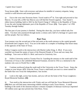Texas heroes **(14)**. Enter with reverence and please be mindful of cemetery etiquette, being careful to walk between and around gravesites.

 $\Box$  Exit to the west onto Navasota Street. Travel south to 9<sup>th</sup> St. Turn right and proceed to San Marcos. To your left, at 802 San Marcos you will find the French Legation. Tour Austin's oldest known building, built in 1841 by the French Charge d' Affaires to the Republic of Texas. It was the only foreign diplomatic post of the Republic of Texas. **(15)**. Tour opens 1 to 5 PM Tuesday through Sunday

The first part of your journey is finished. During this short day, you have walked only five miles. You have also journeyed through nearly a century and a half of a heritage of a great state and her people. Part two follows.

### **Part Two**

Your journey over the second part of the trail starts at the north entrance to the capitol grounds (Fourteenth and Congress Ave.) You are in the midst of a complex of buildings that house many of the agencies of the State of Texas.

Follow Congress north to the intersection with Martin Luther King, Jr. Blvd. If you were watchful you found the names of more of the Honored People of Texas and saw many fine buildings. Turn west on MLK Jr. Blvd. and travel to University Ave.

 $\Box$  Follow University north to Twenty-First St. Guarding the entrance to the south mall of the University of Texas is the Littlefield Memorial Fountain, erected in 1932 as a memorial to the students who were in World War I. **(16)**

 $\Box$  Continue northward along the south mall of the University to the Texas Tower. Enjoy the campus at your leisure. **(17)** From the Texas Tower a mall leads you east to a street named for the battle that won Texas her Independence, San Jacinto.

 $\Box$  Look to the right, across San Jacinto, and you will see the home of the Texas Longhorns -Royal-Memorial Stadium. **(18)**

 $\Box$  Turn north at the intersection with Trinity and you will find the Texas Memorial Museum. **(19)** Here you will find many interesting exhibits relating to early Texas history. A small building to the north of the museum entrance contains examples of dinosaur trackways imprinted 105 million years ago near present day Glen Rose, Texas.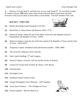**Q** Return to Twenty-third St. and look east. As you walk along  $23<sup>rd</sup>$  St. toward the Lyndon B. Johnson Library, **(20)** reflect upon what you have learned about a great State and look forward to what you are about to learn about a Great Nation. You have reached Trail's end.

#### **MAP KEY - PART ONE**

- **(1)** Marker describing Austin during the Civil War.
- **(2)** Brush Park, O. Henry Home and Museum, 409 E.  $5^{th}$  St.
- **(3)** Historical marker, marks the site of the offices of the War and Adjutant General's Departments, the Republic of Texas. (1839)
- **(4)** Historical markers, mark the site of the first capitol of the Republic of Texas and the State of Texas. (1839-1853)
- **(5)** Temporary Capitol, foundation ruins and historical marker. (1882-1888)
- **(6)** The Governor's Mansion, 1010 Colorado.
- **(7)** State Capitol building,  $11<sup>th</sup>$  and Congress.
- **(8)** Statue of Liberty, erected in 1951 by the Boy Scouts of America.
- **(9)** Lorenzo De Zavala State Archives & Library, 1201 Brazos.
- **(10)** Waterloo Park
- **(11)** Moonlight Tower
- **(12)** Symphony Square cultural center.
- **(13)** George Washington Carver Museum 1165 Angelina.
- **(14)** Texas State Cemetery "The Arlington of Texas"
- **(15)** French Legation 802 San Marcos St.



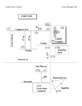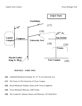

**MAP KEY – PART TWO**

- **(16)** Littlefield Memorial Fountain, W. 21<sup>st</sup> St. & University Ave.
- **(17)** The Tower at The University of Texas Campus
- **(18)** Royal-Memorial Stadium, home of the Texas Longhorns
- **(19)** Texas Memorial Museum, 2400 Trinity
- **(20)** The Lyndon B. Johnson Library and Museum, 2313 Red River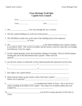| <b>Texas Heritage Trail Quiz</b><br><b>Capitol Area Council</b>                                                                                                    |  |
|--------------------------------------------------------------------------------------------------------------------------------------------------------------------|--|
|                                                                                                                                                                    |  |
|                                                                                                                                                                    |  |
|                                                                                                                                                                    |  |
| 2. The first capitol building was at the site of the present ___________________.                                                                                  |  |
| 3. The Old Bakery stands next to the ruins of the building used as the temporary                                                                                   |  |
| It was built in 1856. The wood in its pillars and the interior wood are cedar that was brought<br>from Bastrop, Texas by wagon.                                    |  |
| 5. On the Capitol grounds, locate the monument relating to Scouting. Did you find the plaque<br>marking the site of the Bicentennial time capsule? When will it be |  |
| 6. List the four statues or memorials on the Capitol grounds that impressed you the most.                                                                          |  |
|                                                                                                                                                                    |  |
|                                                                                                                                                                    |  |
| 8. What material makes up the exterior walls of the State Capitol?                                                                                                 |  |
| statues standing in the lobby of the Capitol. The statues are of Italian marble and were                                                                           |  |
| 10. No. 2010 was the first woman governor of the State of<br>Texas.                                                                                                |  |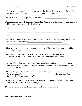11.Twelve names are memorialized in terrazzo on the floor of the South entrance foyer. These names represent significant \_\_\_\_\_\_\_\_\_\_\_\_\_\_\_ fought on Texas soil.

12. What does the "F" in Stephen F. Austin stand for? \_\_\_\_\_\_\_\_\_\_\_\_\_\_\_\_\_\_\_\_\_\_\_\_\_\_

- 13.A composite terrazzo design of the "Seals of the Nations" is in the center of the rotunda floor. List the nations represented by the six seals:
	- 1) \_\_\_\_\_\_\_\_\_\_\_\_\_\_\_\_\_\_\_\_\_\_\_\_\_\_\_\_ 4) \_\_\_\_\_\_\_\_\_\_\_\_\_\_\_\_\_\_\_\_\_\_\_\_\_\_\_\_\_ 2) \_\_\_\_\_\_\_\_\_\_\_\_\_\_\_\_\_\_\_\_\_\_\_\_\_\_\_\_ 5) \_\_\_\_\_\_\_\_\_\_\_\_\_\_\_\_\_\_\_\_\_\_\_\_\_\_\_\_\_ 3) \_\_\_\_\_\_\_\_\_\_\_\_\_\_\_\_\_\_\_\_\_\_\_\_\_\_\_\_ 6) \_\_\_\_\_\_\_\_\_\_\_\_\_\_\_\_\_\_\_\_\_\_\_\_\_\_\_\_\_
- 14.Which two battles in Texas history are depicted by the two immense paintings on the back wall of the Senate chamber\_\_\_\_\_\_\_\_\_\_\_\_\_\_\_\_\_\_\_\_\_\_\_\_\_\_\_\_\_\_\_\_\_\_\_\_\_
- 15.Encased behind the speaker's rostrum in the House of Representatives is the original flag from the 1836 battle of  $\blacksquare$

\_\_\_\_\_\_\_\_\_\_\_\_\_\_\_\_\_\_\_\_\_\_\_\_\_\_\_\_\_\_\_\_\_\_\_\_\_\_\_\_\_\_\_\_\_\_\_\_\_\_\_\_\_\_\_\_\_\_\_\_\_\_\_\_\_\_

- 16.Four men served as President of the Republic of Texas and their portraits are Displayed in the Capitol. Who was the last President to serve the Republic?
- 17.Austin's first public library was a small one-room frame building (1926-1933.) Housed in this remodeled and renamed library is a museum that pays tribute to the well-known African American educator: \_\_\_\_\_\_\_\_\_\_\_\_\_\_\_\_\_\_\_\_\_\_\_\_\_\_\_\_\_.
- 18.Locate the grave of a lady famous in the fight for Texas Independence. What is her name? \_\_\_\_\_\_\_\_\_\_\_\_\_\_\_\_\_\_\_\_\_\_\_\_\_\_\_\_\_\_\_\_\_\_\_. Her Lone Star Flag was flown at what famous battleground? \_\_\_\_\_\_\_\_\_\_\_\_\_\_\_\_\_\_\_\_\_\_\_\_\_\_\_\_\_\_\_.
- 19.The oldest known building in the city served as the only foreign embassy of the Republic of Texas. What is the name of that building?
- 20. "Texas" comes from the Hasinai Indian word "tejas," which means: \_\_\_\_\_\_\_\_\_

\_\_\_\_\_\_\_\_\_\_\_\_\_\_\_\_\_\_\_\_\_\_.

\_\_\_\_\_\_\_\_\_\_\_\_\_\_\_\_\_\_\_\_\_\_\_\_\_\_\_\_\_\_\_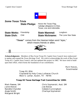



**Acknowledgments:** Members of Boy Scout Troop 93, Capitol Area Council, have endeavored to update and expand the *Texas Heritage Trail*. We wish to acknowledge the work of Boy Scout Troop 421, Capitol Area Council, who last updated this project in 1985. We have tried to build upon their effort, which forms the foundation of our contribution.

> *Mark Reeves*, Scoutmaster

Troop 93, BSA Chartered by Holy Cross Lutheran Church 4622 S. Lamar, Austin, TX 78745

### **Troop 93 Texas Heritage Trail Committee for 1999:**

Janie Alonzo Joe Alonzo Margaret Wright

Mark Reeves, SM Chris Szymanski, Asst. SM Nanette Chandler Celeste Cunningham Angie Smith Charlsye Szymanski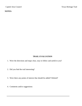### **TRAIL EVALUATION**

- 1. Were the directions and maps clear, easy to follow and useful to you?
- 2. Did you find the trail interesting?
- 3. Were there any points of interest that should be added? Deleted?
- 4. Comments and/or suggestions: